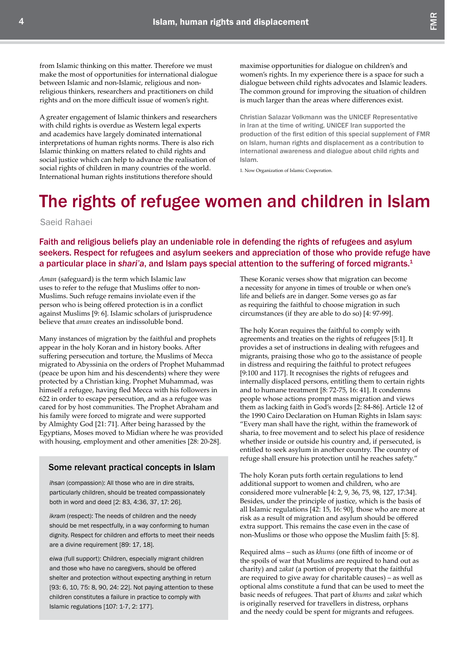## The rights of refugee women and children in Islam

Saeid Rahaei

Faith and religious beliefs play an undeniable role in defending the rights of refugees and asylum seekers. Respect for refugees and asylum seekers and appreciation of those who provide refuge have a particular place in *shari'a*, and Islam pays special attention to the suffering of forced migrants.1

*Aman* (safeguard) is the term which Islamic law uses to refer to the refuge that Muslims offer to non-Muslims. Such refuge remains inviolate even if the person who is being offered protection is in a conflict against Muslims [9: 6]. Islamic scholars of jurisprudence believe that *aman* creates an indissoluble bond.

Many instances of migration by the faithful and prophets appear in the holy Koran and in history books. After suffering persecution and torture, the Muslims of Mecca migrated to Abyssinia on the orders of Prophet Muhammad (peace be upon him and his descendents) where they were protected by a Christian king. Prophet Muhammad, was himself a refugee, having fled Mecca with his followers in 622 in order to escape persecution, and as a refugee was cared for by host communities. The Prophet Abraham and his family were forced to migrate and were supported by Almighty God [21: 71]. After being harassed by the Egyptians, Moses moved to Midian where he was provided with housing, employment and other amenities [28: 20-28].

## Some relevant practical concepts in Islam

*ihsan* (compassion): All those who are in dire straits, particularly children, should be treated compassionately both in word and deed [2: 83, 4:36, 37, 17: 26].

*ikram* (respect): The needs of children and the needy should be met respectfully, in a way conforming to human dignity. Respect for children and efforts to meet their needs are a divine requirement [89: 17, 18].

*eiwa* (full support): Children, especially migrant children and those who have no caregivers, should be offered shelter and protection without expecting anything in return [93: 6, 10, 75: 8, 90, 24: 22]. Not paying attention to these children constitutes a failure in practice to comply with Islamic regulations [107: 1-7, 2: 177].

These Koranic verses show that migration can become a necessity for anyone in times of trouble or when one's life and beliefs are in danger. Some verses go as far as requiring the faithful to choose migration in such circumstances (if they are able to do so) [4: 97-99].

The holy Koran requires the faithful to comply with agreements and treaties on the rights of refugees [5:1]. It provides a set of instructions in dealing with refugees and migrants, praising those who go to the assistance of people in distress and requiring the faithful to protect refugees [9:100 and 117]. It recognises the rights of refugees and internally displaced persons, entitling them to certain rights and to humane treatment [8: 72-75, 16: 41]. It condemns people whose actions prompt mass migration and views them as lacking faith in God's words [2: 84-86]. Article 12 of the 1990 Cairo Declaration on Human Rights in Islam says: "Every man shall have the right, within the framework of sharia, to free movement and to select his place of residence whether inside or outside his country and, if persecuted, is entitled to seek asylum in another country. The country of refuge shall ensure his protection until he reaches safety."

The holy Koran puts forth certain regulations to lend additional support to women and children, who are considered more vulnerable [4: 2, 9, 36, 75, 98, 127, 17:34]. Besides, under the principle of justice, which is the basis of all Islamic regulations [42: 15, 16: 90], those who are more at risk as a result of migration and asylum should be offered extra support. This remains the case even in the case of non-Muslims or those who oppose the Muslim faith [5: 8].

Required alms – such as *khums* (one fifth of income or of the spoils of war that Muslims are required to hand out as charity) and *zakat* (a portion of property that the faithful are required to give away for charitable causes) – as well as optional alms constitute a fund that can be used to meet the basic needs of refugees. That part of *khums* and *zakat* which is originally reserved for travellers in distress, orphans and the needy could be spent for migrants and refugees.